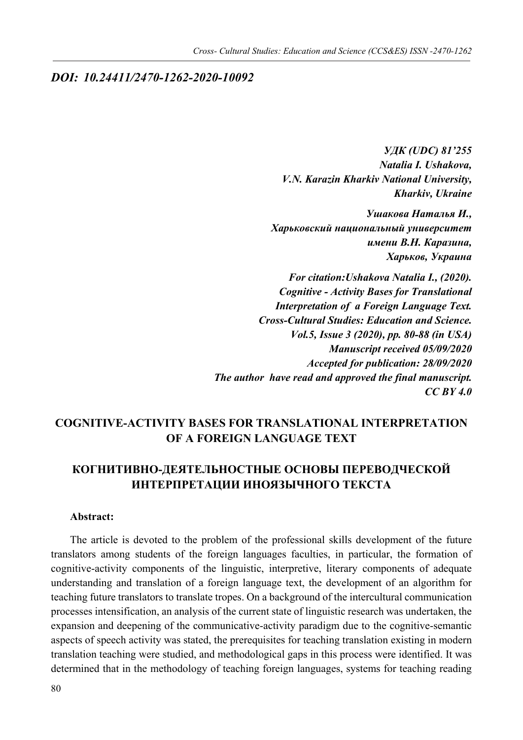## *DOI: 10.24411/2470-1262-2020-10092*

*УДК (UDC) 81'255 Natalia I. Ushakova, V.N. Karazin Kharkiv National University, Kharkiv, Ukraine*

*Ушакова Наталья И., Харьковский национальный университет имени В.Н. Каразина, Харьков, Украина*

*For citation:Ushakova Natalia I., (2020). Cognitive - Activity Bases for Translational Interpretation of a Foreign Language Text. Cross-Cultural Studies: Education and Science. Vol.5, Issue 3 (2020), pp. 80-88 (in USA) Manuscript received 05/09/2020 Accepted for publication: 28/09/2020 The author have read and approved the final manuscript. CC BY 4.0*

# **COGNITIVE-ACTIVITY BASES FOR TRANSLATIONAL INTERPRETATION OF A FOREIGN LANGUAGE TEXT**

# **КОГНИТИВНО-ДЕЯТЕЛЬНОСТНЫЕ ОСНОВЫ ПЕРЕВОДЧЕСКОЙ ИНТЕРПРЕТАЦИИ ИНОЯЗЫЧНОГО ТЕКСТА**

### **Abstract:**

The article is devoted to the problem of the professional skills development of the future translators among students of the foreign languages faculties, in particular, the formation of cognitive-activity components of the linguistic, interpretive, literary components of adequate understanding and translation of a foreign language text, the development of an algorithm for teaching future translators to translate tropes. On a background of the intercultural communication processes intensification, an analysis of the current state of linguistic research was undertaken, the expansion and deepening of the communicative-activity paradigm due to the cognitive-semantic aspects of speech activity was stated, the prerequisites for teaching translation existing in modern translation teaching were studied, and methodological gaps in this process were identified. It was determined that in the methodology of teaching foreign languages, systems for teaching reading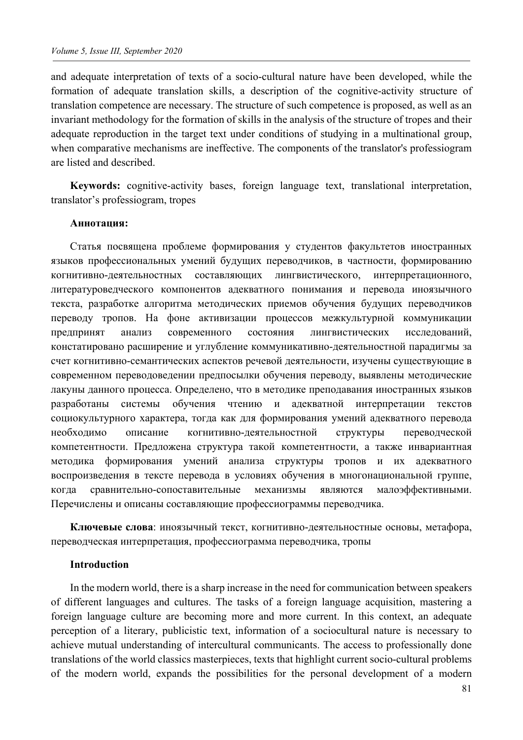and adequate interpretation of texts of a socio-cultural nature have been developed, while the formation of adequate translation skills, a description of the cognitive-activity structure of translation competence are necessary. The structure of such competence is proposed, as well as an invariant methodology for the formation of skills in the analysis of the structure of tropes and their adequate reproduction in the target text under conditions of studying in a multinational group, when comparative mechanisms are ineffective. The components of the translator's professiogram are listed and described.

**Keywords:** cognitive-activity bases, foreign language text, translational interpretation, translator's professiogram, tropes

#### **Аннотация:**

Статья посвящена проблеме формирования у студентов факультетов иностранных языков профессиональных умений будущих переводчиков, в частности, формированию когнитивно-деятельностных составляющих лингвистического, интерпретационного, литературоведческого компонентов адекватного понимания и перевода иноязычного текста, разработке алгоритма методических приемов обучения будущих переводчиков переводу тропов. На фоне активизации процессов межкультурной коммуникации предпринят анализ современного состояния лингвистических исследований, констатировано расширение и углубление коммуникативно-деятельностной парадигмы за счет когнитивно-семантических аспектов речевой деятельности, изучены существующие в современном переводоведении предпосылки обучения переводу, выявлены методические лакуны данного процесса. Определено, что в методике преподавания иностранных языков разработаны системы обучения чтению и адекватной интерпретации текстов социокультурного характера, тогда как для формирования умений адекватного перевода необходимо описание когнитивно-деятельностной структуры переводческой компетентности. Предложена структура такой компетентности, а также инвариантная методика формирования умений анализа структуры тропов и их адекватного воспроизведения в тексте перевода в условиях обучения в многонациональной группе, когда сравнительно-сопоставительные механизмы являются малоэффективными. Перечислены и описаны составляющие профессиограммы переводчика.

**Ключевые слова**: иноязычный текст, когнитивно-деятельностные основы, метафора, переводческая интерпретация, профессиограмма переводчика, тропы

#### **Introduction**

In the modern world, there is a sharp increase in the need for communication between speakers of different languages and cultures. The tasks of a foreign language acquisition, mastering a foreign language culture are becoming more and more current. In this context, an adequate perception of a literary, publicistic text, information of a sociocultural nature is necessary to achieve mutual understanding of intercultural communicants. The access to professionally done translations of the world classics masterpieces, texts that highlight current socio-cultural problems of the modern world, expands the possibilities for the personal development of a modern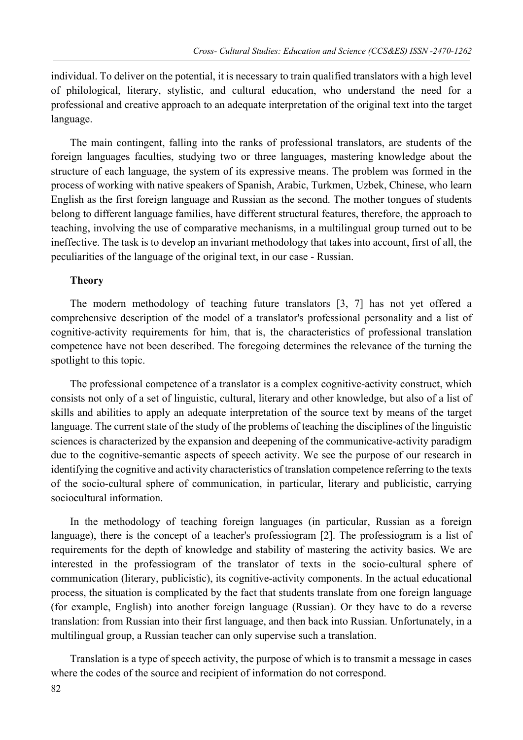individual. To deliver on the potential, it is necessary to train qualified translators with a high level of philological, literary, stylistic, and cultural education, who understand the need for a professional and creative approach to an adequate interpretation of the original text into the target language.

The main contingent, falling into the ranks of professional translators, are students of the foreign languages faculties, studying two or three languages, mastering knowledge about the structure of each language, the system of its expressive means. The problem was formed in the process of working with native speakers of Spanish, Arabic, Turkmen, Uzbek, Chinese, who learn English as the first foreign language and Russian as the second. The mother tongues of students belong to different language families, have different structural features, therefore, the approach to teaching, involving the use of comparative mechanisms, in a multilingual group turned out to be ineffective. The task is to develop an invariant methodology that takes into account, first of all, the peculiarities of the language of the original text, in our case - Russian.

### **Theory**

The modern methodology of teaching future translators [3, 7] has not yet offered a comprehensive description of the model of a translator's professional personality and a list of cognitive-activity requirements for him, that is, the characteristics of professional translation competence have not been described. The foregoing determines the relevance of the turning the spotlight to this topic.

The professional competence of a translator is a complex cognitive-activity construct, which consists not only of a set of linguistic, cultural, literary and other knowledge, but also of a list of skills and abilities to apply an adequate interpretation of the source text by means of the target language. The current state of the study of the problems of teaching the disciplines of the linguistic sciences is characterized by the expansion and deepening of the communicative-activity paradigm due to the cognitive-semantic aspects of speech activity. We see the purpose of our research in identifying the cognitive and activity characteristics of translation competence referring to the texts of the socio-cultural sphere of communication, in particular, literary and publicistic, carrying sociocultural information.

In the methodology of teaching foreign languages (in particular, Russian as a foreign language), there is the concept of a teacher's professiogram [2]. The professiogram is a list of requirements for the depth of knowledge and stability of mastering the activity basics. We are interested in the professiogram of the translator of texts in the socio-cultural sphere of communication (literary, publicistic), its cognitive-activity components. In the actual educational process, the situation is complicated by the fact that students translate from one foreign language (for example, English) into another foreign language (Russian). Or they have to do a reverse translation: from Russian into their first language, and then back into Russian. Unfortunately, in a multilingual group, a Russian teacher can only supervise such a translation.

Translation is a type of speech activity, the purpose of which is to transmit a message in cases where the codes of the source and recipient of information do not correspond.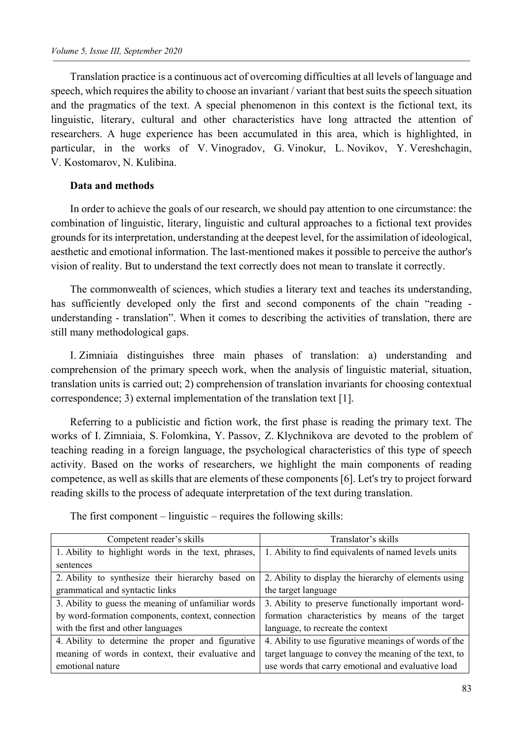Translation practice is a continuous act of overcoming difficulties at all levels of language and speech, which requires the ability to choose an invariant / variant that best suits the speech situation and the pragmatics of the text. A special phenomenon in this context is the fictional text, its linguistic, literary, cultural and other characteristics have long attracted the attention of researchers. A huge experience has been accumulated in this area, which is highlighted, in particular, in the works of V. Vinogradov, G. Vinokur, L. Novikov, Y. Vereshchagin, V. Kostomarov, N. Kulibina.

### **Data and methods**

In order to achieve the goals of our research, we should pay attention to one circumstance: the combination of linguistic, literary, linguistic and cultural approaches to a fictional text provides grounds for its interpretation, understanding at the deepest level, for the assimilation of ideological, aesthetic and emotional information. The last-mentioned makes it possible to perceive the author's vision of reality. But to understand the text correctly does not mean to translate it correctly.

The commonwealth of sciences, which studies a literary text and teaches its understanding, has sufficiently developed only the first and second components of the chain "reading understanding - translation". When it comes to describing the activities of translation, there are still many methodological gaps.

I. Zimniaia distinguishes three main phases of translation: a) understanding and comprehension of the primary speech work, when the analysis of linguistic material, situation, translation units is carried out; 2) comprehension of translation invariants for choosing contextual correspondence; 3) external implementation of the translation text [1].

Referring to a publicistic and fiction work, the first phase is reading the primary text. The works of I. Zimniaia, S. Folomkina, Y. Passov, Z. Klychnikova are devoted to the problem of teaching reading in a foreign language, the psychological characteristics of this type of speech activity. Based on the works of researchers, we highlight the main components of reading competence, as well as skills that are elements of these components [6]. Let's try to project forward reading skills to the process of adequate interpretation of the text during translation.

The first component – linguistic – requires the following skills:

| Competent reader's skills                           | Translator's skills                                   |
|-----------------------------------------------------|-------------------------------------------------------|
| 1. Ability to highlight words in the text, phrases, | 1. Ability to find equivalents of named levels units  |
| sentences                                           |                                                       |
| 2. Ability to synthesize their hierarchy based on   | 2. Ability to display the hierarchy of elements using |
| grammatical and syntactic links                     | the target language                                   |
| 3. Ability to guess the meaning of unfamiliar words | 3. Ability to preserve functionally important word-   |
| by word-formation components, context, connection   | formation characteristics by means of the target      |
| with the first and other languages                  | language, to recreate the context                     |
| 4. Ability to determine the proper and figurative   | 4. Ability to use figurative meanings of words of the |
| meaning of words in context, their evaluative and   | target language to convey the meaning of the text, to |
| emotional nature                                    | use words that carry emotional and evaluative load    |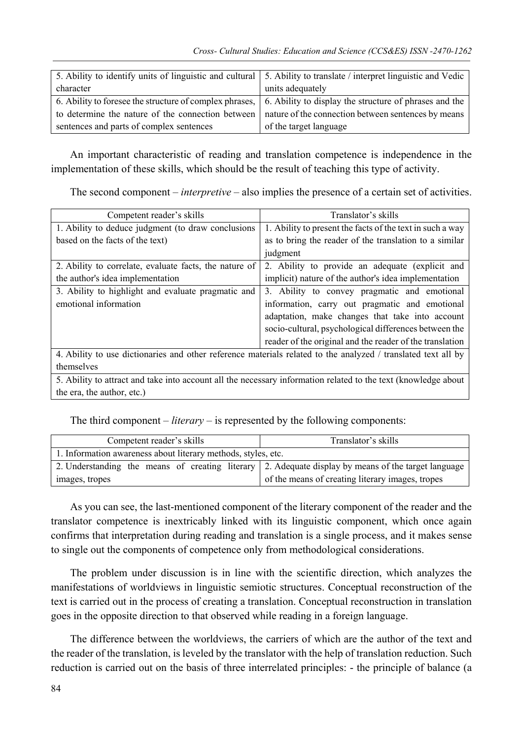|                                          | 5. Ability to identify units of linguistic and cultural 5. Ability to translate / interpret linguistic and Vedic |
|------------------------------------------|------------------------------------------------------------------------------------------------------------------|
| character                                | units adequately                                                                                                 |
|                                          | 6. Ability to foresee the structure of complex phrases, 6. Ability to display the structure of phrases and the   |
|                                          | to determine the nature of the connection between   nature of the connection between sentences by means          |
| sentences and parts of complex sentences | of the target language                                                                                           |

An important characteristic of reading and translation competence is independence in the implementation of these skills, which should be the result of teaching this type of activity.

The second component – *interpretive* – also implies the presence of a certain set of activities.

| Competent reader's skills                                                                                      | Translator's skills                                       |
|----------------------------------------------------------------------------------------------------------------|-----------------------------------------------------------|
| 1. Ability to deduce judgment (to draw conclusions                                                             | 1. Ability to present the facts of the text in such a way |
| based on the facts of the text)                                                                                | as to bring the reader of the translation to a similar    |
|                                                                                                                | judgment                                                  |
| 2. Ability to correlate, evaluate facts, the nature of                                                         | 2. Ability to provide an adequate (explicit and           |
| the author's idea implementation                                                                               | implicit) nature of the author's idea implementation      |
| 3. Ability to highlight and evaluate pragmatic and                                                             | 3. Ability to convey pragmatic and emotional              |
| emotional information                                                                                          | information, carry out pragmatic and emotional            |
|                                                                                                                | adaptation, make changes that take into account           |
|                                                                                                                | socio-cultural, psychological differences between the     |
|                                                                                                                | reader of the original and the reader of the translation  |
| 4. Ability to use dictionaries and other reference materials related to the analyzed / translated text all by  |                                                           |
| themselves                                                                                                     |                                                           |
| 5. Ability to attract and take into account all the necessary information related to the text (knowledge about |                                                           |
| the era, the author, etc.)                                                                                     |                                                           |

The third component – *literary* – is represented by the following components:

| Competent reader's skills                                     | Translator's skills                                                                                 |  |
|---------------------------------------------------------------|-----------------------------------------------------------------------------------------------------|--|
| 1. Information awareness about literary methods, styles, etc. |                                                                                                     |  |
|                                                               | 2. Understanding the means of creating literary 2. Adequate display by means of the target language |  |
| images, tropes                                                | of the means of creating literary images, tropes                                                    |  |

As you can see, the last-mentioned component of the literary component of the reader and the translator competence is inextricably linked with its linguistic component, which once again confirms that interpretation during reading and translation is a single process, and it makes sense to single out the components of competence only from methodological considerations.

The problem under discussion is in line with the scientific direction, which analyzes the manifestations of worldviews in linguistic semiotic structures. Conceptual reconstruction of the text is carried out in the process of creating a translation. Conceptual reconstruction in translation goes in the opposite direction to that observed while reading in a foreign language.

The difference between the worldviews, the carriers of which are the author of the text and the reader of the translation, is leveled by the translator with the help of translation reduction. Such reduction is carried out on the basis of three interrelated principles: - the principle of balance (a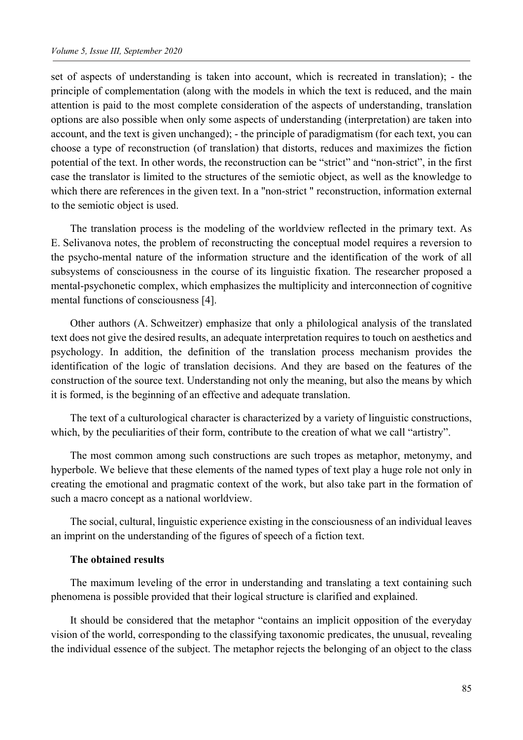set of aspects of understanding is taken into account, which is recreated in translation); - the principle of complementation (along with the models in which the text is reduced, and the main attention is paid to the most complete consideration of the aspects of understanding, translation options are also possible when only some aspects of understanding (interpretation) are taken into account, and the text is given unchanged); - the principle of paradigmatism (for each text, you can choose a type of reconstruction (of translation) that distorts, reduces and maximizes the fiction potential of the text. In other words, the reconstruction can be "strict" and "non-strict", in the first case the translator is limited to the structures of the semiotic object, as well as the knowledge to which there are references in the given text. In a "non-strict " reconstruction, information external to the semiotic object is used.

The translation process is the modeling of the worldview reflected in the primary text. As E. Selivanova notes, the problem of reconstructing the conceptual model requires a reversion to the psycho-mental nature of the information structure and the identification of the work of all subsystems of consciousness in the course of its linguistic fixation. The researcher proposed a mental-psychonetic complex, which emphasizes the multiplicity and interconnection of cognitive mental functions of consciousness [4].

Other authors (A. Schweitzer) emphasize that only a philological analysis of the translated text does not give the desired results, an adequate interpretation requires to touch on aesthetics and psychology. In addition, the definition of the translation process mechanism provides the identification of the logic of translation decisions. And they are based on the features of the construction of the source text. Understanding not only the meaning, but also the means by which it is formed, is the beginning of an effective and adequate translation.

The text of a culturological character is characterized by a variety of linguistic constructions, which, by the peculiarities of their form, contribute to the creation of what we call "artistry".

The most common among such constructions are such tropes as metaphor, metonymy, and hyperbole. We believe that these elements of the named types of text play a huge role not only in creating the emotional and pragmatic context of the work, but also take part in the formation of such a macro concept as a national worldview.

The social, cultural, linguistic experience existing in the consciousness of an individual leaves an imprint on the understanding of the figures of speech of a fiction text.

#### **The obtained results**

The maximum leveling of the error in understanding and translating a text containing such phenomena is possible provided that their logical structure is clarified and explained.

It should be considered that the metaphor "contains an implicit opposition of the everyday vision of the world, corresponding to the classifying taxonomic predicates, the unusual, revealing the individual essence of the subject. The metaphor rejects the belonging of an object to the class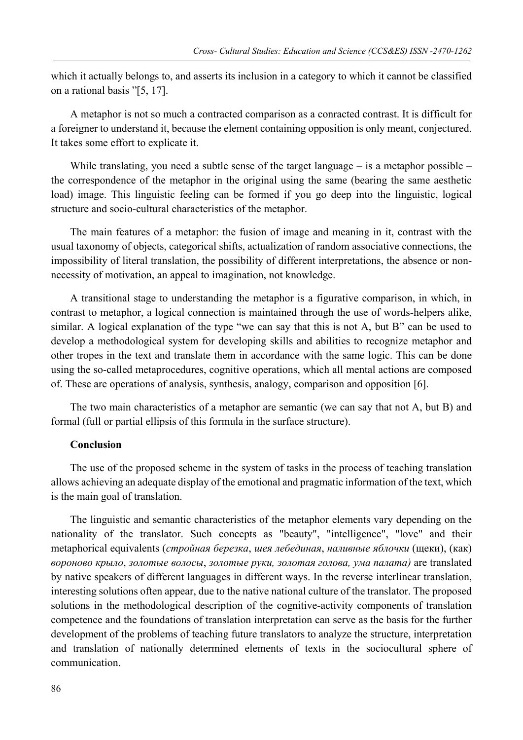which it actually belongs to, and asserts its inclusion in a category to which it cannot be classified on a rational basis "[5, 17].

A metaphor is not so much a contracted comparison as a conracted contrast. It is difficult for a foreigner to understand it, because the element containing opposition is only meant, conjectured. It takes some effort to explicate it.

While translating, you need a subtle sense of the target language – is a metaphor possible – the correspondence of the metaphor in the original using the same (bearing the same aesthetic load) image. This linguistic feeling can be formed if you go deep into the linguistic, logical structure and socio-cultural characteristics of the metaphor.

The main features of a metaphor: the fusion of image and meaning in it, contrast with the usual taxonomy of objects, categorical shifts, actualization of random associative connections, the impossibility of literal translation, the possibility of different interpretations, the absence or nonnecessity of motivation, an appeal to imagination, not knowledge.

A transitional stage to understanding the metaphor is a figurative comparison, in which, in contrast to metaphor, a logical connection is maintained through the use of words-helpers alike, similar. A logical explanation of the type "we can say that this is not A, but B" can be used to develop a methodological system for developing skills and abilities to recognize metaphor and other tropes in the text and translate them in accordance with the same logic. This can be done using the so-called metaprocedures, cognitive operations, which all mental actions are composed of. These are operations of analysis, synthesis, analogy, comparison and opposition [6].

The two main characteristics of a metaphor are semantic (we can say that not A, but B) and formal (full or partial ellipsis of this formula in the surface structure).

#### **Conclusion**

The use of the proposed scheme in the system of tasks in the process of teaching translation allows achieving an adequate display of the emotional and pragmatic information of the text, which is the main goal of translation.

The linguistic and semantic characteristics of the metaphor elements vary depending on the nationality of the translator. Such concepts as "beauty", "intelligence", "love" and their metaphorical equivalents (*стройная березка*, *шея лебединая*, *наливные яблочки* (щеки), (как) *вороново крыло*, *золотые волосы*, *золотые руки, золотая голова, ума палата)* are translated by native speakers of different languages in different ways. In the reverse interlinear translation, interesting solutions often appear, due to the native national culture of the translator. The proposed solutions in the methodological description of the cognitive-activity components of translation competence and the foundations of translation interpretation can serve as the basis for the further development of the problems of teaching future translators to analyze the structure, interpretation and translation of nationally determined elements of texts in the sociocultural sphere of communication.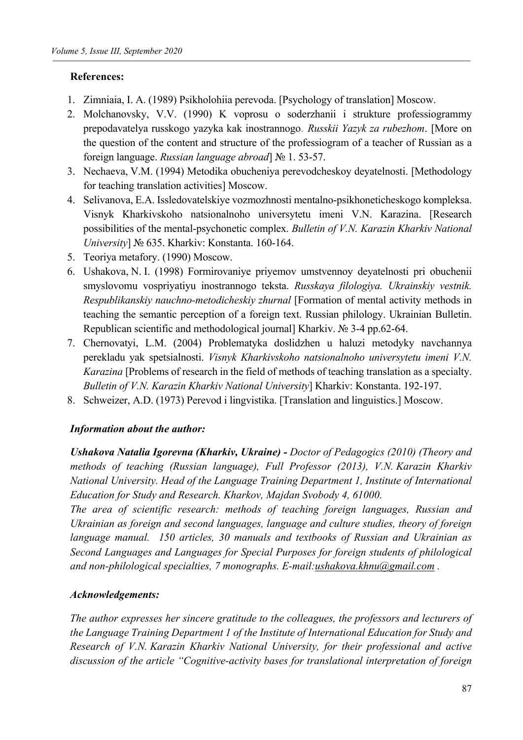## **References:**

- 1. Zimniaia, I. А. (1989) Psikholohiia perevoda. [Psychology of translation] Moscow.
- 2. Molchanovsky, V.V. (1990) K voprosu o soderzhanii i strukture professiogrammy prepodavatelya russkogo yazyka kak inostrannogo. *Russkii Yazyk za rubezhom*. [More on the question of the content and structure of the professiogram of a teacher of Russian as a foreign language. *Russian language abroad*] № 1. 53-57.
- 3. Nechaeva, V.M. (1994) Metodika obucheniya perevodcheskoy deyatelnosti. [Methodology for teaching translation activities] Moscow.
- 4. Selivanova, E.A. Issledovatelskiye vozmozhnosti mentalno-psikhoneticheskogo kompleksa. Visnyk Kharkivskoho natsionalnoho universytetu imeni V.N. Karazina. [Research possibilities of the mental-psychonetic complex. *Bulletin of V.N. Karazin Kharkiv National University*] № 635. Kharkiv: Konstanta. 160-164.
- 5. Teoriya metafory. (1990) Moscow.
- 6. Ushakova, N. I. (1998) Formirovaniye priyemov umstvennoy deyatelnosti pri obuchenii smyslovomu vospriyatiyu inostrannogo teksta. *Russkaya filologiya. Ukrainskiy vestnik. Respublikanskiy nauchno-metodicheskiy zhurnal* [Formation of mental activity methods in teaching the semantic perception of a foreign text. Russian philology. Ukrainian Bulletin. Republican scientific and methodological journal] Kharkiv. № 3-4 pp.62-64.
- 7. Chernovatyi, L.M. (2004) Problematyka doslidzhen u haluzi metodyky navchannya perekladu yak spetsialnosti. *Visnyk Kharkivskoho natsionalnoho universytetu imeni V.N. Karazina* [Problems of research in the field of methods of teaching translation as a specialty. *Bulletin of V.N. Karazin Kharkiv National University*] Kharkiv: Konstanta. 192-197.
- 8. Schweizer, A.D. (1973) Perevod i lingvistika. [Translation and linguistics.] Moscow.

## *Information about the author:*

*Ushakova Natalia Igorevna (Kharkiv, Ukraine) - Doctor of Pedagogics (2010) (Theory and methods of teaching (Russian language), Full Professor (2013), V.N. Karazin Kharkiv National University. Head of the Language Training Department 1, Institute of International Education for Study and Research. Kharkov, Majdan Svobody 4, 61000.* 

*The area of scientific research: methods of teaching foreign languages, Russian and Ukrainian as foreign and second languages, language and culture studies, theory of foreign language manual. 150 articles, 30 manuals and textbooks of Russian and Ukrainian as Second Languages and Languages for Special Purposes for foreign students of philological*  and non-philological specialties, 7 monographs. E-mail:ushakova.khnu@gmail.com.

## *Acknowledgements:*

*The author expresses her sincere gratitude to the colleagues, the professors and lecturers of the Language Training Department 1 of the Institute of International Education for Study and Research of V.N. Karazin Kharkiv National University, for their professional and active discussion of the article "Cognitive-activity bases for translational interpretation of foreign*